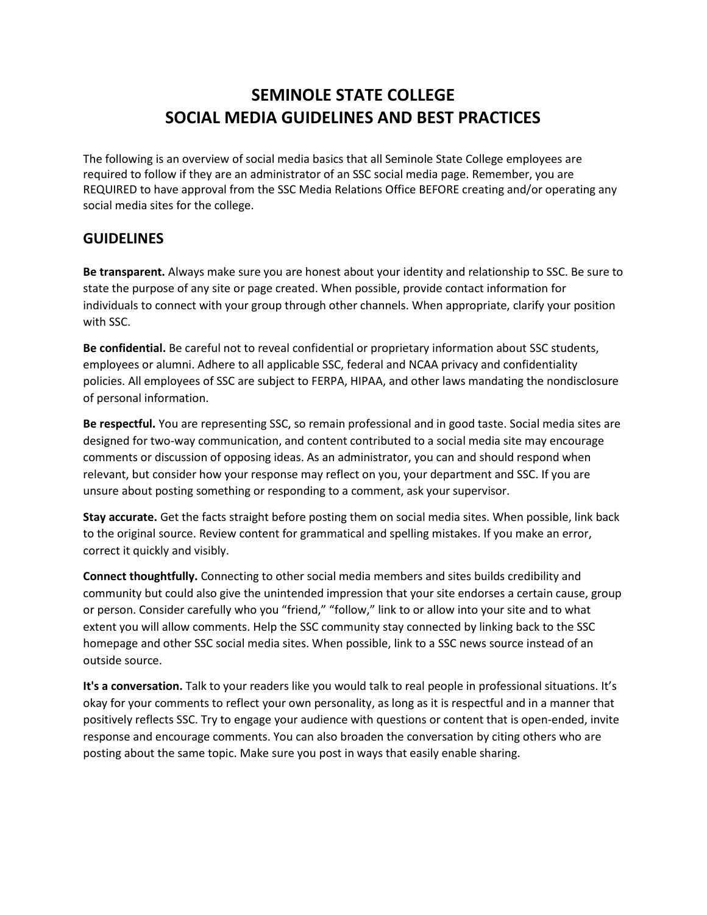# **SEMINOLE STATE COLLEGE SOCIAL MEDIA GUIDELINES AND BEST PRACTICES**

The following is an overview of social media basics that all Seminole State College employees are required to follow if they are an administrator of an SSC social media page. Remember, you are REQUIRED to have approval from the SSC Media Relations Office BEFORE creating and/or operating any social media sites for the college.

# **GUIDELINES**

**Be transparent.** Always make sure you are honest about your identity and relationship to SSC. Be sure to state the purpose of any site or page created. When possible, provide contact information for individuals to connect with your group through other channels. When appropriate, clarify your position with SSC.

**Be confidential.** Be careful not to reveal confidential or proprietary information about SSC students, employees or alumni. Adhere to all applicable SSC, federal and NCAA privacy and confidentiality policies. All employees of SSC are subject to [FERPA,](http://www.ecfr.gov/cgi-bin/text-idx?c=ecfr&tpl=/ecfrbrowse/Title34/34cfr99_main_02.tpl) [HIPAA,](http://www.hhs.gov/hipaa/) and other laws mandating the nondisclosure of personal information.

**Be respectful.** You are representing SSC, so remain professional and in good taste. Social media sites are designed for two-way communication, and content contributed to a social media site may encourage comments or discussion of opposing ideas. As an administrator, you can and should respond when relevant, but consider how your response may reflect on you, your department and SSC. If you are unsure about posting something or responding to a comment, ask your supervisor.

**Stay accurate.** Get the facts straight before posting them on social media sites. When possible, link back to the original source. Review content for grammatical and spelling mistakes. If you make an error, correct it quickly and visibly.

**Connect thoughtfully.** Connecting to other social media members and sites builds credibility and community but could also give the unintended impression that your site endorses a certain cause, group or person. Consider carefully who you "friend," "follow," link to or allow into your site and to what extent you will allow comments. Help the SSC community stay connected by linking back to the SSC homepage and other SSC social media sites. When possible, link to a SSC news source instead of an outside source.

**It's a conversation.** Talk to your readers like you would talk to real people in professional situations. It's okay for your comments to reflect your own personality, as long as it is respectful and in a manner that positively reflects SSC. Try to engage your audience with questions or content that is open-ended, invite response and encourage comments. You can also broaden the conversation by citing others who are posting about the same topic. Make sure you post in ways that easily enable sharing.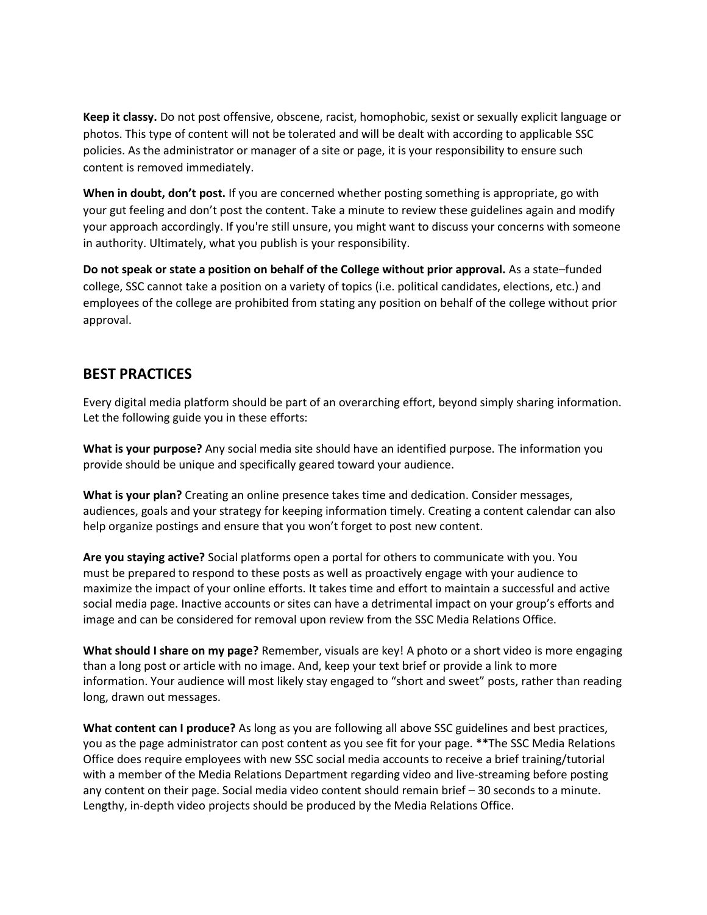**Keep it classy.** Do not post offensive, obscene, racist, homophobic, sexist or sexually explicit language or photos. This type of content will not be tolerated and will be dealt with according to applicable SSC policies. As the administrator or manager of a site or page, it is your responsibility to ensure such content is removed immediately.

**When in doubt, don't post.** If you are concerned whether posting something is appropriate, go with your gut feeling and don't post the content. Take a minute to review these guidelines again and modify your approach accordingly. If you're still unsure, you might want to discuss your concerns with someone in authority. Ultimately, what you publish is your responsibility.

**Do not speak or state a position on behalf of the College without prior approval.** As a state–funded college, SSC cannot take a position on a variety of topics (i.e. political candidates, elections, etc.) and employees of the college are prohibited from stating any position on behalf of the college without prior approval.

# **BEST PRACTICES**

Every digital media platform should be part of an overarching effort, beyond simply sharing information. Let the following guide you in these efforts:

**What is your purpose?** Any social media site should have an identified purpose. The information you provide should be unique and specifically geared toward your audience.

**What is your plan?** Creating an online presence takes time and dedication. Consider messages, audiences, goals and your strategy for keeping information timely. Creating a content calendar can also help organize postings and ensure that you won't forget to post new content.

**Are you staying active?** Social platforms open a portal for others to communicate with you. You must be prepared to respond to these posts as well as proactively engage with your audience to maximize the impact of your online efforts. It takes time and effort to maintain a successful and active social media page. Inactive accounts or sites can have a detrimental impact on your group's efforts and image and can be considered for removal upon review from the SSC Media Relations Office.

**What should I share on my page?** Remember, visuals are key! A photo or a short video is more engaging than a long post or article with no image. And, keep your text brief or provide a link to more information. Your audience will most likely stay engaged to "short and sweet" posts, rather than reading long, drawn out messages.

**What content can I produce?** As long as you are following all above SSC guidelines and best practices, you as the page administrator can post content as you see fit for your page. \*\*The SSC Media Relations Office does require employees with new SSC social media accounts to receive a brief training/tutorial with a member of the Media Relations Department regarding video and live-streaming before posting any content on their page. Social media video content should remain brief – 30 seconds to a minute. Lengthy, in-depth video projects should be produced by the Media Relations Office.